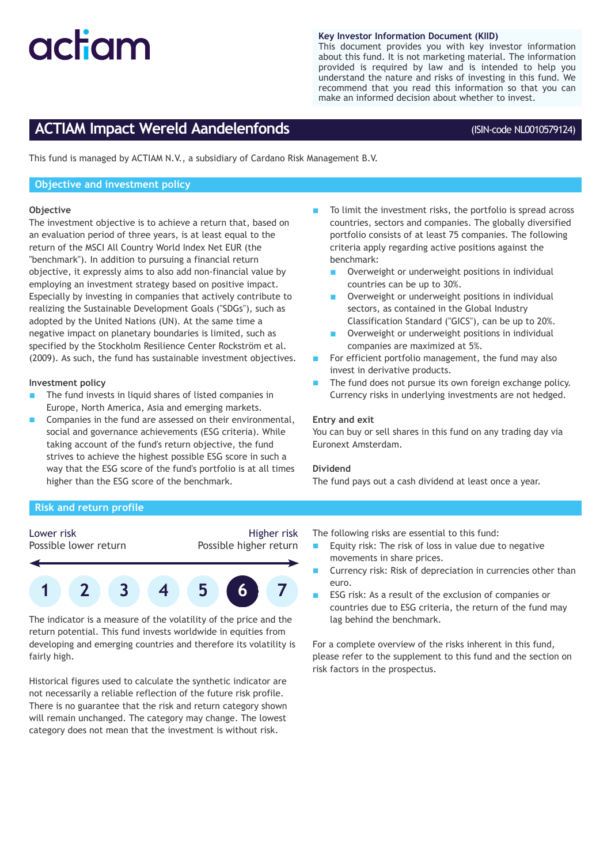# actam

#### **Key Investor Information Document (KIID)**

This document provides you with key investor information about this fund. It is not marketing material. The information provided is required by law and is intended to help you understand the nature and risks of investing in this fund. We recommend that you read this information so that you can make an informed decision about whether to invest.

## **ACTIAM Impact Wereld Aandelenfonds**

#### (ISIN-code NL0010579124)

This fund is managed by ACTIAM N.V., a subsidiary of Cardano Risk Management B.V.

#### **Objective and investment policy**

#### **Objective**

The investment objective is to achieve a return that, based on an evaluation period of three years, is at least equal to the return of the MSCI All Country World Index Net EUR (the "benchmark"). In addition to pursuing a financial return objective, it expressly aims to also add non-financial value by employing an investment strategy based on positive impact. Especially by investing in companies that actively contribute to realizing the Sustainable Development Goals ("SDGs"), such as adopted by the United Nations (UN). At the same time a negative impact on planetary boundaries is limited, such as specified by the Stockholm Resilience Center Rockström et al. (2009). As such, the fund has sustainable investment objectives.

#### **Investment policy**

- The fund invests in liquid shares of listed companies in Europe, North America, Asia and emerging markets.
- Companies in the fund are assessed on their environmental, social and governance achievements (ESG criteria). While taking account of the fund's return objective, the fund strives to achieve the highest possible ESG score in such a way that the ESG score of the fund's portfolio is at all times higher than the ESG score of the benchmark.
- To limit the investment risks, the portfolio is spread across countries, sectors and companies. The globally diversified portfolio consists of at least 75 companies. The following criteria apply regarding active positions against the benchmark:
	- Overweight or underweight positions in individual countries can be up to 30%.
	- Overweight or underweight positions in individual sectors, as contained in the Global Industry Classification Standard ("GICS"), can be up to 20%.
	- Overweight or underweight positions in individual companies are maximized at 5%.
- For efficient portfolio management, the fund may also invest in derivative products.
- The fund does not pursue its own foreign exchange policy. Currency risks in underlying investments are not hedged.

#### **Entry and exit**

You can buy or sell shares in this fund on any trading day via Euronext Amsterdam.

#### **Dividend**

The fund pays out a cash dividend at least once a year.

#### **Risk and return profile**

### Lower risk

Possible lower return

#### Higher risk Possible higher return



The indicator is a measure of the volatility of the price and the return potential. This fund invests worldwide in equities from developing and emerging countries and therefore its volatility is fairly high.

Historical figures used to calculate the synthetic indicator are not necessarily a reliable reflection of the future risk profile. There is no guarantee that the risk and return category shown will remain unchanged. The category may change. The lowest category does not mean that the investment is without risk.

The following risks are essential to this fund:

- Equity risk: The risk of loss in value due to negative movements in share prices.
- Currency risk: Risk of depreciation in currencies other than euro.
- ESG risk: As a result of the exclusion of companies or countries due to ESG criteria, the return of the fund may lag behind the benchmark.

For a complete overview of the risks inherent in this fund, please refer to the supplement to this fund and the section on risk factors in the prospectus.